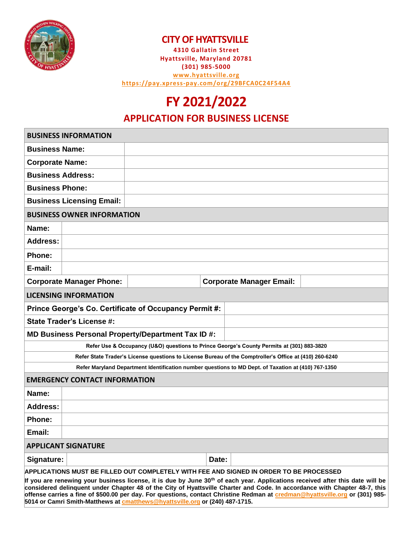

#### **CITY OF HYATTSVILLE**

**4310 Gallatin Street Hyattsville, Maryland 20781 (301) 985-5000 [www.hyattsville.org](http://www.hyattsville.org/) <https://pay.xpress-pay.com/org/29BFCA0C24F54A4>**

# **FY 2021/2022**

#### **APPLICATION FOR BUSINESS LICENSE**

| <b>BUSINESS INFORMATION</b>                                                                                                                                                                                                                                            |                                 |  |  |
|------------------------------------------------------------------------------------------------------------------------------------------------------------------------------------------------------------------------------------------------------------------------|---------------------------------|--|--|
| <b>Business Name:</b>                                                                                                                                                                                                                                                  |                                 |  |  |
| <b>Corporate Name:</b>                                                                                                                                                                                                                                                 |                                 |  |  |
| <b>Business Address:</b>                                                                                                                                                                                                                                               |                                 |  |  |
| <b>Business Phone:</b>                                                                                                                                                                                                                                                 |                                 |  |  |
| <b>Business Licensing Email:</b>                                                                                                                                                                                                                                       |                                 |  |  |
| <b>BUSINESS OWNER INFORMATION</b>                                                                                                                                                                                                                                      |                                 |  |  |
| Name:                                                                                                                                                                                                                                                                  |                                 |  |  |
| Address:                                                                                                                                                                                                                                                               |                                 |  |  |
| Phone:                                                                                                                                                                                                                                                                 |                                 |  |  |
| E-mail:                                                                                                                                                                                                                                                                |                                 |  |  |
| <b>Corporate Manager Phone:</b>                                                                                                                                                                                                                                        | <b>Corporate Manager Email:</b> |  |  |
| <b>LICENSING INFORMATION</b>                                                                                                                                                                                                                                           |                                 |  |  |
| Prince George's Co. Certificate of Occupancy Permit #:                                                                                                                                                                                                                 |                                 |  |  |
| <b>State Trader's License #:</b>                                                                                                                                                                                                                                       |                                 |  |  |
| MD Business Personal Property/Department Tax ID #:                                                                                                                                                                                                                     |                                 |  |  |
| Refer Use & Occupancy (U&O) questions to Prince George's County Permits at (301) 883-3820                                                                                                                                                                              |                                 |  |  |
| Refer State Trader's License questions to License Bureau of the Comptroller's Office at (410) 260-6240                                                                                                                                                                 |                                 |  |  |
| Refer Maryland Department Identification number questions to MD Dept. of Taxation at (410) 767-1350                                                                                                                                                                    |                                 |  |  |
| <b>EMERGENCY CONTACT INFORMATION</b>                                                                                                                                                                                                                                   |                                 |  |  |
| Name:                                                                                                                                                                                                                                                                  |                                 |  |  |
| <b>Address:</b>                                                                                                                                                                                                                                                        |                                 |  |  |
| Phone:                                                                                                                                                                                                                                                                 |                                 |  |  |
| Email:                                                                                                                                                                                                                                                                 |                                 |  |  |
| <b>APPLICANT SIGNATURE</b>                                                                                                                                                                                                                                             |                                 |  |  |
| Signature:<br>Date:                                                                                                                                                                                                                                                    |                                 |  |  |
| APPLICATIONS MUST BE FILLED OUT COMPLETELY WITH FEE AND SIGNED IN ORDER TO BE PROCESSED                                                                                                                                                                                |                                 |  |  |
| If you are renewing your business license, it is due by June 30 <sup>th</sup> of each year. Applications received after this date will be<br>considered delinguent under Chapter 48 of the City of Hyattsville Charter and Code. In accordance with Chapter 48-7, this |                                 |  |  |

**considered delinquent under Chapter 48 of the City of Hyattsville Charter and Code. In accordance with Chapter 48-7, this offense carries a fine of \$500.00 per day. For questions, contact Christine Redman at [credman@hyattsville.org](mailto:credman@hyattsville.org) or (301) 985- 5014 or Camri Smith-Matthews a[t cmatthews@hyattsville.org](mailto:cmatthews@hyattsville.org) or (240) 487-1715.**